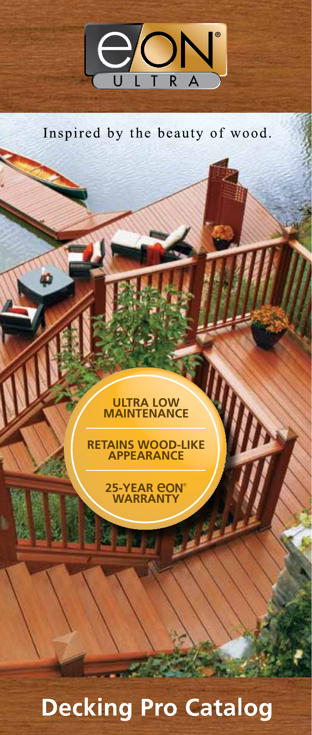

Inspired by the beauty of wood.

# ULTRA LOW<br>MAINTENANCE

RETAINS WOOD-LIKE<br>APPEARANCE



14354

# **Decking Pro Catalog**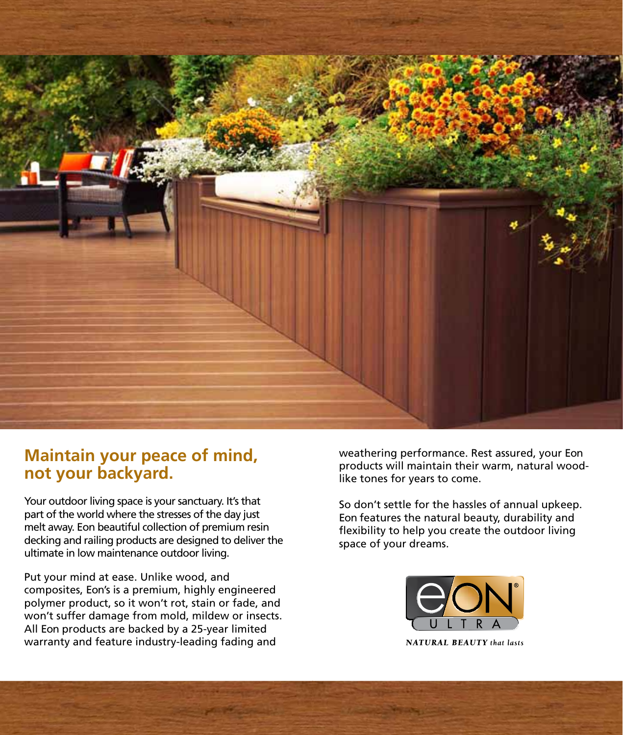

### **Maintain your peace of mind, not your backyard.**

Your outdoor living space is your sanctuary. It's that part of the world where the stresses of the day just melt away. Eon beautiful collection of premium resin decking and railing products are designed to deliver the ultimate in low maintenance outdoor living.

Put your mind at ease. Unlike wood, and composites, Eon's is a premium, highly engineered polymer product, so it won't rot, stain or fade, and won't suffer damage from mold, mildew or insects. All Eon products are backed by a 25-year limited warranty and feature industry-leading fading and

weathering performance. Rest assured, your Eon products will maintain their warm, natural woodlike tones for years to come.

So don't settle for the hassles of annual upkeep. Eon features the natural beauty, durability and flexibility to help you create the outdoor living space of your dreams.



**NATURAL BEAUTY** that lasts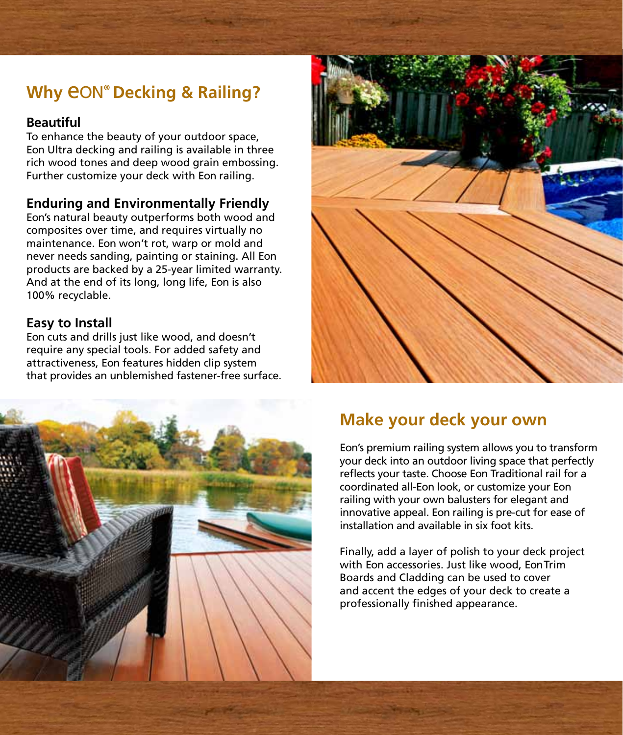# **Why** eON**® Decking & Railing?**

### **Beautiful**

To enhance the beauty of your outdoor space, Eon Ultra decking and railing is available in three rich wood tones and deep wood grain embossing. Further customize your deck with Eon railing.

### **Enduring and Environmentally Friendly**

Eon's natural beauty outperforms both wood and composites over time, and requires virtually no maintenance. Eon won't rot, warp or mold and never needs sanding, painting or staining. All Eon products are backed by a 25-year limited warranty. And at the end of its long, long life, Eon is also 100% recyclable.

### **Easy to Install**

Eon cuts and drills just like wood, and doesn't require any special tools. For added safety and attractiveness, Eon features hidden clip system that provides an unblemished fastener-free surface.





## **Make your deck your own**

Eon's premium railing system allows you to transform your deck into an outdoor living space that perfectly reflects your taste. Choose Eon Traditional rail for a coordinated all-Eon look, or customize your Eon railing with your own balusters for elegant and innovative appeal. Eon railing is pre-cut for ease of installation and available in six foot kits.

Finally, add a layer of polish to your deck project with Eon accessories. Just like wood, EonTrim Boards and Cladding can be used to cover and accent the edges of your deck to create a professionally finished appearance.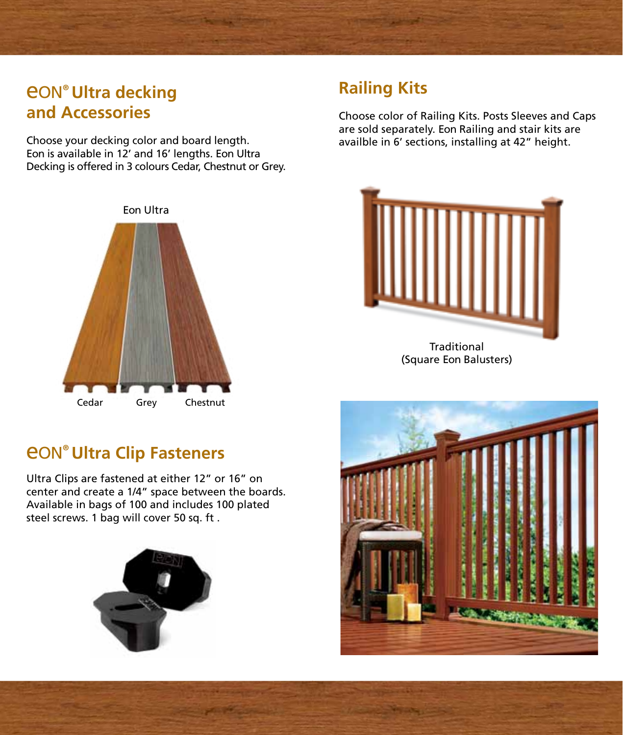# eON**® Ultra decking and Accessories**

Choose your decking color and board length. Eon is available in 12' and 16' lengths. Eon Ultra Decking is offered in 3 colours Cedar, Chestnut or Grey.



## **Railing Kits**

Choose color of Railing Kits. Posts Sleeves and Caps are sold separately. Eon Railing and stair kits are availble in 6' sections, installing at 42" height.



(Square Eon Balusters)

# eON**® Ultra Clip Fasteners**

Ultra Clips are fastened at either 12" or 16" on center and create a 1/4" space between the boards. Available in bags of 100 and includes 100 plated steel screws. 1 bag will cover 50 sq. ft .



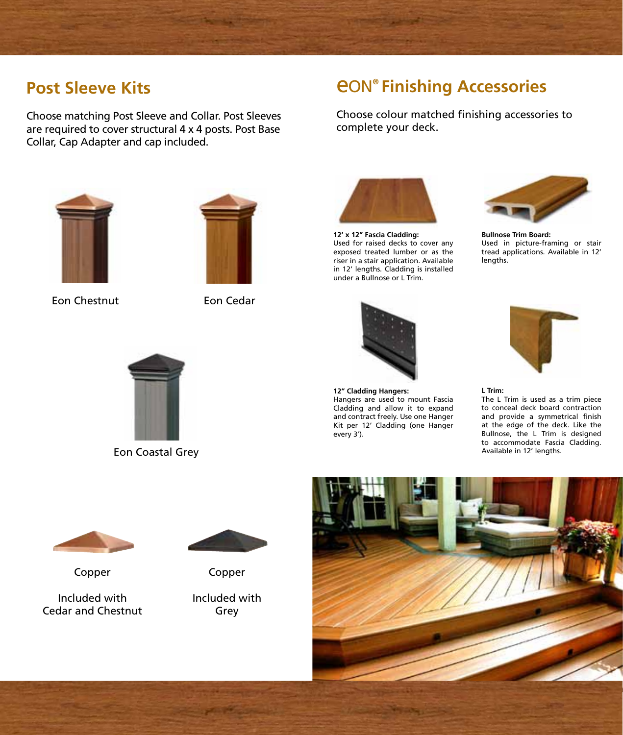## **Post Sleeve Kits**

Choose matching Post Sleeve and Collar. Post Sleeves are required to cover structural 4 x 4 posts. Post Base Collar, Cap Adapter and cap included.

# eON**® Finishing Accessories**

Choose colour matched finishing accessories to complete your deck.



Eon Chestnut Eon Cedar





**12' x 12" Fascia Cladding:** Used for raised decks to cover any exposed treated lumber or as the riser in a stair application. Available in 12' lengths. Cladding is installed under a Bullnose or L Trim.



**Bullnose Trim Board:** Used in picture-framing or stair tread applications. Available in 12' lengths.



**12" Cladding Hangers:** Hangers are used to mount Fascia Cladding and allow it to expand and contract freely. Use one Hanger Kit per 12' Cladding (one Hanger every 3').



**L Trim:** The L Trim is used as a trim piece to conceal deck board contraction and provide a symmetrical finish at the edge of the deck. Like the Bullnose, the L Trim is designed to accommodate Fascia Cladding. Available in 12' lengths.



Eon Coastal Grey



Copper

Included with Cedar and Chestnut



Copper

Included with Grey

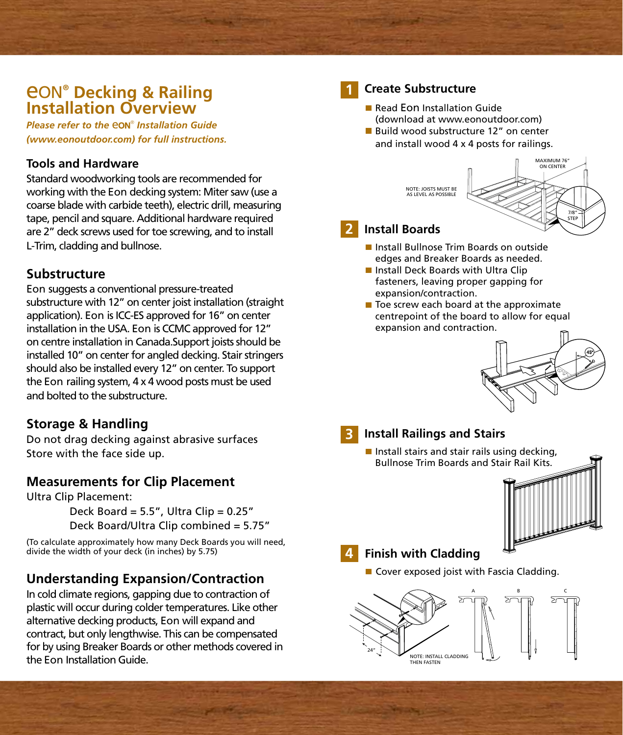# eON**® Decking & Railing Installation Overview**

*Please refer to the* eON®  *Installation Guide (www.eonoutdoor.com) for full instructions.*

### **Tools and Hardware**

Standard woodworking tools are recommended for working with the Eon decking system: Miter saw (use a coarse blade with carbide teeth), electric drill, measuring tape, pencil and square. Additional hardware required are 2" deck screws used for toe screwing, and to install L-Trim, cladding and bullnose.

### **Substructure**

Eon suggests a conventional pressure-treated substructure with 12" on center joist installation (straight application). Eon is ICC-ES approved for 16" on center installation in the USA. Eon is CCMC approved for 12" on centre installation in Canada.Support joists should be installed 10" on center for angled decking. Stair stringers should also be installed every 12" on center. To support the Eon railing system, 4 x 4 wood posts must be used and bolted to the substructure.

### **Storage & Handling**

Do not drag decking against abrasive surfaces Store with the face side up.

### **Measurements for Clip Placement**

Ultra Clip Placement:

Deck Board =  $5.5"$ , Ultra Clip =  $0.25"$ Deck Board/Ultra Clip combined = 5.75"

(To calculate approximately how many Deck Boards you will need, divide the width of your deck (in inches) by 5.75)

### **Understanding Expansion/Contraction**

In cold climate regions, gapping due to contraction of plastic will occur during colder temperatures. Like other alternative decking products, Eon will expand and contract, but only lengthwise. This can be compensated for by using Breaker Boards or other methods covered in the Eon Installation Guide.



### **Create Substructure**

Read Eon Installation Guide (download at www.eonoutdoor.com) **Build wood substructure 12" on center** and install wood 4 x 4 posts for railings.

> MAXIMUM 76" ON CENTER 7/8" STEP NOTE: JOISTS MUST BE AS LEVEL AS POSSIBLE

### **Install Boards 2**

- **Install Bullnose Trim Boards on outside** edges and Breaker Boards as needed.
- Install Deck Boards with Ultra Clip fasteners, leaving proper gapping for expansion/contraction.
- $\blacksquare$  Toe screw each board at the approximate centrepoint of the board to allow for equal expansion and contraction.



#### **Install Railings and Stairs 3**

**Install stairs and stair rails using decking,** Bullnose Trim Boards and Stair Rail Kits.



### **Finish with Cladding 4**

■ Cover exposed joist with Fascia Cladding.

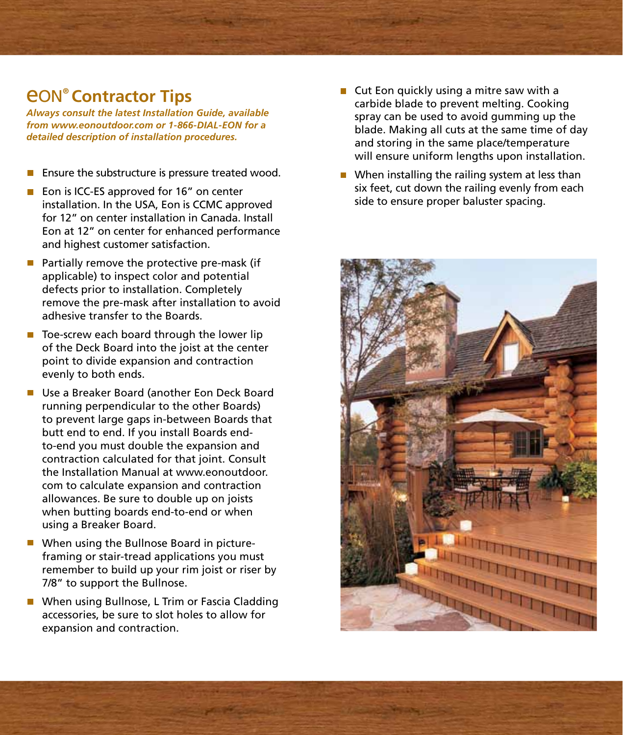# eON**® Contractor Tips**

*Always consult the latest Installation Guide, available from www.eonoutdoor.com or 1-866-DIAL-EON for a detailed description of installation procedures.*

- Ensure the substructure is pressure treated wood.  $\overline{\phantom{a}}$
- Eon is ICC-ES approved for 16" on center installation. In the USA, Eon is CCMC approved for 12" on center installation in Canada. Install Eon at 12" on center for enhanced performance and highest customer satisfaction.
- $\blacksquare$  Partially remove the protective pre-mask (if applicable) to inspect color and potential defects prior to installation. Completely remove the pre-mask after installation to avoid adhesive transfer to the Boards.
- $\blacksquare$  Toe-screw each board through the lower lip of the Deck Board into the joist at the center point to divide expansion and contraction evenly to both ends.
- Use a Breaker Board (another Eon Deck Board running perpendicular to the other Boards) to prevent large gaps in-between Boards that butt end to end. If you install Boards endto-end you must double the expansion and contraction calculated for that joint. Consult the Installation Manual at www.eonoutdoor. com to calculate expansion and contraction allowances. Be sure to double up on joists when butting boards end-to-end or when using a Breaker Board.
- When using the Bullnose Board in pictureframing or stair-tread applications you must remember to build up your rim joist or riser by 7/8" to support the Bullnose.
- When using Bullnose, L Trim or Fascia Cladding accessories, be sure to slot holes to allow for expansion and contraction.
- $\blacksquare$  Cut Eon quickly using a mitre saw with a carbide blade to prevent melting. Cooking spray can be used to avoid gumming up the blade. Making all cuts at the same time of day and storing in the same place/temperature will ensure uniform lengths upon installation.
- $\blacksquare$  When installing the railing system at less than six feet, cut down the railing evenly from each side to ensure proper baluster spacing.

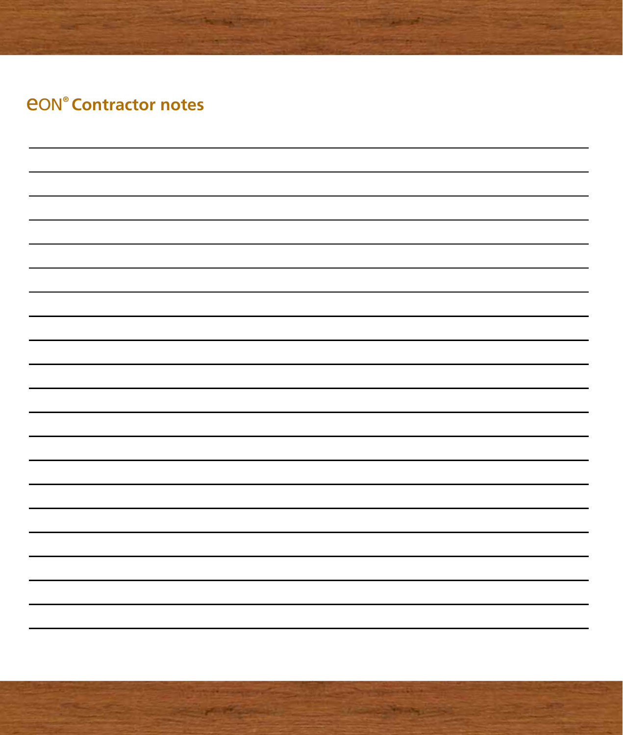# *<u>EON® Contractor notes</u>*